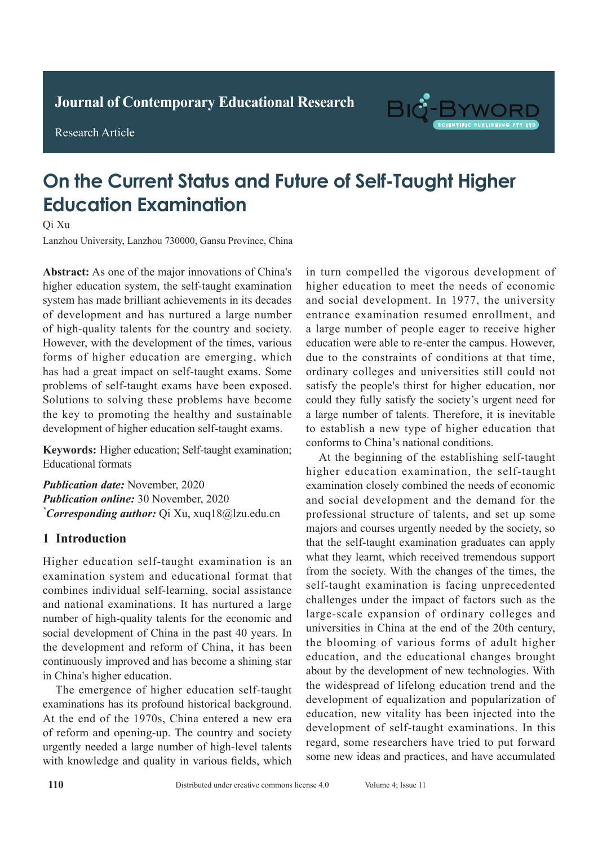

Research Article



# **On the Current Status and Future of Self-Taught Higher Education Examination Adult with Active Pulmonary Tuberculosis**

Qi Xu

Lanzhou University, Lanzhou 730000, Gansu Province, China

Abstract: As one of the major innovations of China's higher education system, the self-taught examination system has made brilliant achievements in its decades of development and has nurtured a large number of high-quality talents for the country and society. However, with the development of the times, various forms of higher education are emerging, which has had a great impact on self-taught exams. Some problems of self-taught exams have been exposed. solutions to solving these problems have become the key to promoting the healthy and sustainable *results: In 60 patients: The pathological results: 1*  $\overline{1}$  tuberculosis lesions. The existence of  $\overline{2}$ development of higher education self-taught exams.

Keywords: Higher education; Self-taught examination; Educational formats detection rate of spiral CT was 98.67%, which was 98.67%, which was not spiral CT was 98.67%, which was not spiral CT was not spiral CT was not spiral CT was not spiral CT was not spiral CT was not spiral CT was not spiral

Publication date: November, 2020 *Publication online:* 30 November, 2020  $\sum_{i=1}^{k} \frac{1}{i} \int_0^{\infty} \frac{1}{i} \frac{\sinh(\theta)}{i} \frac{\sinh(\theta)}{i} \frac{\sinh(\theta)}{i} \frac{\sinh(\theta)}{i} \frac{\sinh(\theta)}{i} \frac{\sinh(\theta)}{i} \frac{\sinh(\theta)}{i} \frac{\sinh(\theta)}{i} \frac{\sinh(\theta)}{i} \frac{\sinh(\theta)}{i} \frac{\sinh(\theta)}{i} \frac{\sinh(\theta)}{i} \frac{\sinh(\theta)}{i} \frac{\sinh(\theta)}{i} \frac{\sinh(\theta)}{i} \frac{\sinh(\theta)}{i} \frac{\sinh(\theta)}{i}$  $\sum_{i=1}^{n}$ *\*Corresponding author:* Qi Xu, xuq18@lzu.edu.cn

#### **1 Introduction** for tuberculosis lesions in special sites was 100.00%,

Higher education self-taught examination is an examination system and educational format that combines individual self-learning, social assistance and national examinations. It has nurtured a large number of high-quality talents for the economic and number of high-quality talents for the economic and social development of China in the past 40 years. In the development and reform of China, it has been the development and reform of China, it has been **Keywords:** Active and the second weakening our in China's higher education. and accordinuously improved and has become a shining star

The emergence of higher education self-taught The emergence of higher education self-taught the examinations has its profound historical background. At the end of the 1970s, China entered a new era of reform and opening-up. The country and society *Furgently needed a large number of high-level talents*  $\frac{1}{2}$ with knowledge and quality in various fields, which in turn compelled the vigorous development of higher education to meet the needs of economic and social development. In 1977, the university entrance examination resumed enrollment, and a large number of people eager to receive higher education were able to re-enter the campus. However, due to the constraints of conditions at that time, ordinary colleges and universities still could not satisfy the people's thirst for higher education, nor could they fully satisfy the society's urgent need for a large number of talents. Therefore, it is inevitable to establish a new type of higher education that conforms to China's national conditions.

At the beginning of the establishing self-taught higher education examination, the self-taught examination closely combined the needs of economic and social development and the demand for the and social development and the demand for the professional structure of talents, and set up some majors and courses urgently needed by the society, so that the self-taught examination graduates can apply and the seri dagno stallmation gladaties can apply<br>what they learnt, which received tremendous support what they ically, which received demendous support from the society. With the changes of the times, the from the society. While the entirely of the times, the self-taught examination is facing unprecedented challenges under the impact of factors such as the enancinges under the impact of factors such as the<br>large-scale expansion of ordinary colleges and range-scare expansion or ordinary correges and universities in China at the end of the 20th century, the blooming of various forms of adult higher **1.11.1.1.1. Constrained in the constraint complete the depth of new technologies.** With development of equalization and popularization of education, new vitality has been injected into the education, new vitality has been injected into the development of self-taught examinations. In this development of self-taught examinations. In this retrospectively of seri-taught examinations. In this regard, some researchers have tried to put forward cond, some researchers have the to put forward some new ideas and practices, and have accumulated education, and the educational changes brought the widespread of lifelong education trend and the higher education examination, the self-taught<br>examination closely combined the needs of economic<br>and social development and the demand for the<br>professional structure of talents, and set up some<br>majors and courses urgently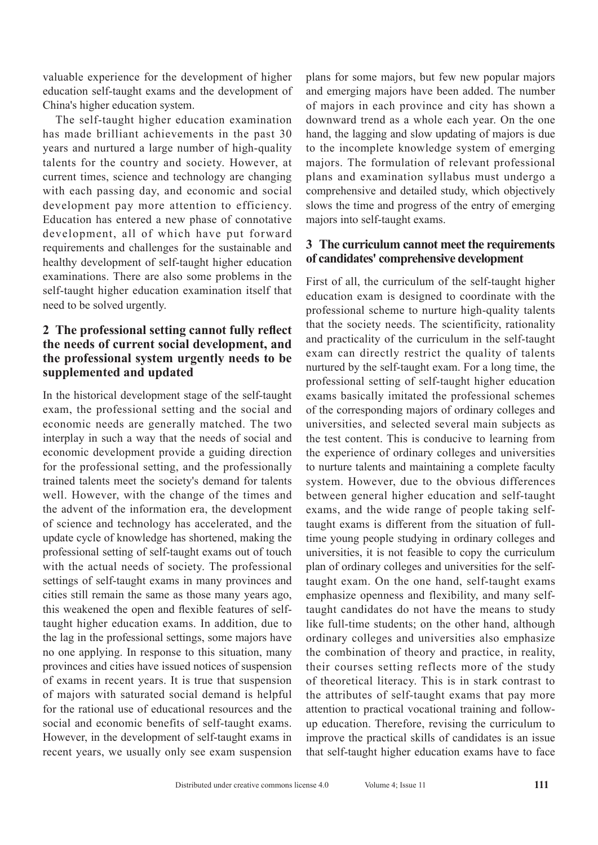valuable experience for the development of higher education self-taught exams and the development of China's higher education system.

The self-taught higher education examination has made brilliant achievements in the past 30 years and nurtured a large number of high-quality talents for the country and society. However, at current times, science and technology are changing with each passing day, and economic and social development pay more attention to efficiency. Education has entered a new phase of connotative development, all of which have put forward requirements and challenges for the sustainable and healthy development of self-taught higher education examinations. There are also some problems in the self-taught higher education examination itself that need to be solved urgently.

## **2 The professional setting cannot fully reflect the needs of current social development, and the professional system urgently needs to be supplemented and updated**

In the historical development stage of the self-taught exam, the professional setting and the social and economic needs are generally matched. The two interplay in such a way that the needs of social and economic development provide a guiding direction for the professional setting, and the professionally trained talents meet the society's demand for talents well. However, with the change of the times and the advent of the information era, the development of science and technology has accelerated, and the update cycle of knowledge has shortened, making the professional setting of self-taught exams out of touch with the actual needs of society. The professional settings of self-taught exams in many provinces and cities still remain the same as those many years ago, this weakened the open and flexible features of selftaught higher education exams. In addition, due to the lag in the professional settings, some majors have no one applying. In response to this situation, many provinces and cities have issued notices of suspension of exams in recent years. It is true that suspension of majors with saturated social demand is helpful for the rational use of educational resources and the social and economic benefits of self-taught exams. However, in the development of self-taught exams in recent years, we usually only see exam suspension

plans for some majors, but few new popular majors and emerging majors have been added. The number of majors in each province and city has shown a downward trend as a whole each year. On the one hand, the lagging and slow updating of majors is due to the incomplete knowledge system of emerging majors. The formulation of relevant professional plans and examination syllabus must undergo a comprehensive and detailed study, which objectively slows the time and progress of the entry of emerging majors into self-taught exams.

#### **3 The curriculum cannot meet the requirements of candidates' comprehensive development**

First of all, the curriculum of the self-taught higher education exam is designed to coordinate with the professional scheme to nurture high-quality talents that the society needs. The scientificity, rationality and practicality of the curriculum in the self-taught exam can directly restrict the quality of talents nurtured by the self-taught exam. For a long time, the professional setting of self-taught higher education exams basically imitated the professional schemes of the corresponding majors of ordinary colleges and universities, and selected several main subjects as the test content. This is conducive to learning from the experience of ordinary colleges and universities to nurture talents and maintaining a complete faculty system. However, due to the obvious differences between general higher education and self-taught exams, and the wide range of people taking selftaught exams is different from the situation of fulltime young people studying in ordinary colleges and universities, it is not feasible to copy the curriculum plan of ordinary colleges and universities for the selftaught exam. On the one hand, self-taught exams emphasize openness and flexibility, and many selftaught candidates do not have the means to study like full-time students; on the other hand, although ordinary colleges and universities also emphasize the combination of theory and practice, in reality, their courses setting reflects more of the study of theoretical literacy. This is in stark contrast to the attributes of self-taught exams that pay more attention to practical vocational training and followup education. Therefore, revising the curriculum to improve the practical skills of candidates is an issue that self-taught higher education exams have to face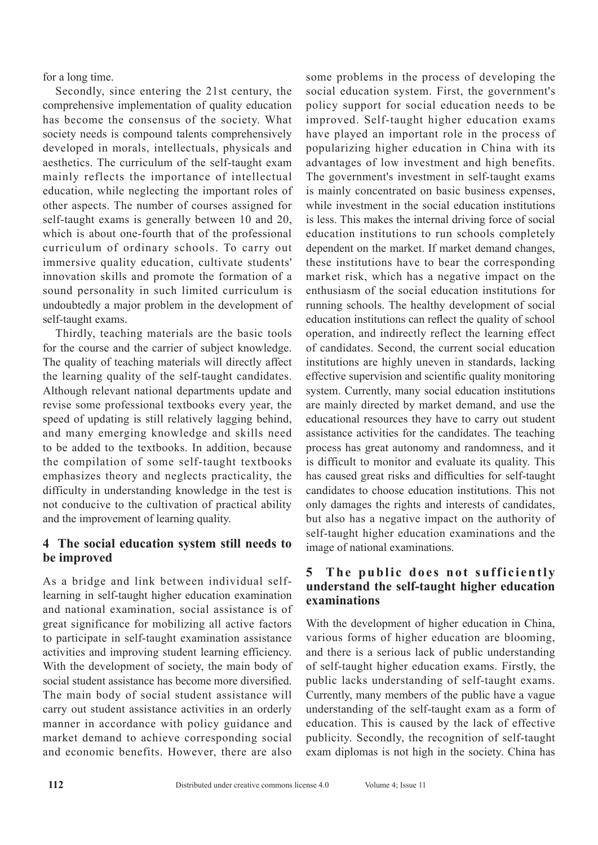for a long time.

Secondly, since entering the 21st century, the comprehensive implementation of quality education has become the consensus of the society. What society needs is compound talents comprehensively developed in morals, intellectuals, physicals and aesthetics. The curriculum of the self-taught exam mainly reflects the importance of intellectual education, while neglecting the important roles of other aspects. The number of courses assigned for self-taught exams is generally between 10 and 20, which is about one-fourth that of the professional curriculum of ordinary schools. To carry out immersive quality education, cultivate students' innovation skills and promote the formation of a sound personality in such limited curriculum is undoubtedly a major problem in the development of self-taught exams.

Thirdly, teaching materials are the basic tools for the course and the carrier of subject knowledge. The quality of teaching materials will directly affect the learning quality of the self-taught candidates. Although relevant national departments update and revise some professional textbooks every year, the speed of updating is still relatively lagging behind, and many emerging knowledge and skills need to be added to the textbooks. In addition, because the compilation of some self-taught textbooks emphasizes theory and neglects practicality, the difficulty in understanding knowledge in the test is not conducive to the cultivation of practical ability and the improvement of learning quality.

## **4 The social education system still needs to be improved**

As a bridge and link between individual selflearning in self-taught higher education examination and national examination, social assistance is of great significance for mobilizing all active factors to participate in self-taught examination assistance activities and improving student learning efficiency. With the development of society, the main body of social student assistance has become more diversified. The main body of social student assistance will carry out student assistance activities in an orderly manner in accordance with policy guidance and market demand to achieve corresponding social and economic benefits. However, there are also

some problems in the process of developing the social education system. First, the government's policy support for social education needs to be improved. Self-taught higher education exams have played an important role in the process of popularizing higher education in China with its advantages of low investment and high benefits. The government's investment in self-taught exams is mainly concentrated on basic business expenses, while investment in the social education institutions is less. This makes the internal driving force of social education institutions to run schools completely dependent on the market. If market demand changes, these institutions have to bear the corresponding market risk, which has a negative impact on the enthusiasm of the social education institutions for running schools. The healthy development of social education institutions can reflect the quality of school operation, and indirectly reflect the learning effect of candidates. Second, the current social education institutions are highly uneven in standards, lacking effective supervision and scientific quality monitoring system. Currently, many social education institutions are mainly directed by market demand, and use the educational resources they have to carry out student assistance activities for the candidates. The teaching process has great autonomy and randomness, and it is difficult to monitor and evaluate its quality. This has caused great risks and difficulties for self-taught candidates to choose education institutions. This not only damages the rights and interests of candidates, but also has a negative impact on the authority of self-taught higher education examinations and the image of national examinations.

## **5** The public does not sufficiently **understand the self-taught higher education examinations**

With the development of higher education in China, various forms of higher education are blooming, and there is a serious lack of public understanding of self-taught higher education exams. Firstly, the public lacks understanding of self-taught exams. Currently, many members of the public have a vague understanding of the self-taught exam as a form of education. This is caused by the lack of effective publicity. Secondly, the recognition of self-taught exam diplomas is not high in the society. China has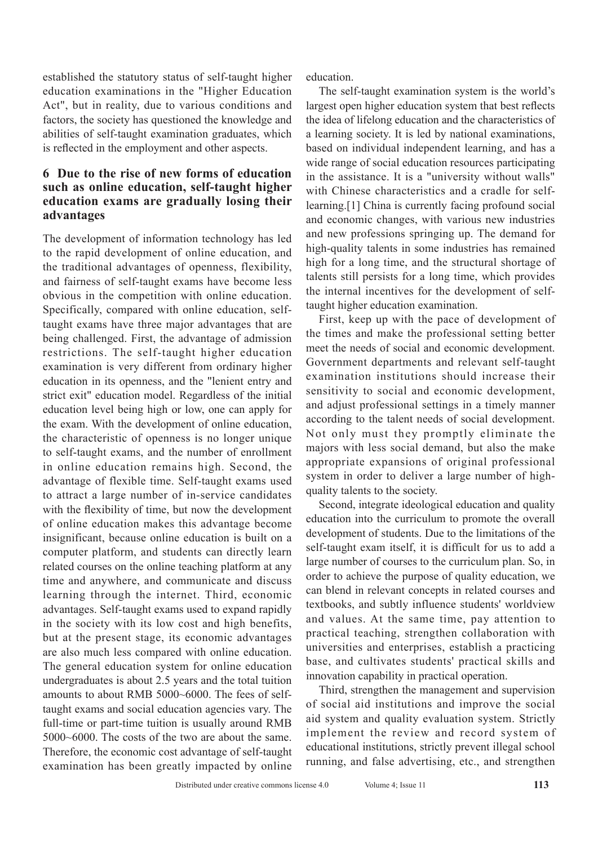established the statutory status of self-taught higher education examinations in the "Higher Education Act", but in reality, due to various conditions and factors, the society has questioned the knowledge and abilities of self-taught examination graduates, which is reflected in the employment and other aspects.

### **6 Due to the rise of new forms of education such as online education, self-taught higher education exams are gradually losing their advantages**

The development of information technology has led to the rapid development of online education, and the traditional advantages of openness, flexibility, and fairness of self-taught exams have become less obvious in the competition with online education. Specifically, compared with online education, selftaught exams have three major advantages that are being challenged. First, the advantage of admission restrictions. The self-taught higher education examination is very different from ordinary higher education in its openness, and the "lenient entry and strict exit" education model. Regardless of the initial education level being high or low, one can apply for the exam. With the development of online education, the characteristic of openness is no longer unique to self-taught exams, and the number of enrollment in online education remains high. Second, the advantage of flexible time. Self-taught exams used to attract a large number of in-service candidates with the flexibility of time, but now the development of online education makes this advantage become insignificant, because online education is built on a computer platform, and students can directly learn related courses on the online teaching platform at any time and anywhere, and communicate and discuss learning through the internet. Third, economic advantages. Self-taught exams used to expand rapidly in the society with its low cost and high benefits, but at the present stage, its economic advantages are also much less compared with online education. The general education system for online education undergraduates is about 2.5 years and the total tuition amounts to about RMB 5000~6000. The fees of selftaught exams and social education agencies vary. The full-time or part-time tuition is usually around RMB 5000~6000. The costs of the two are about the same. Therefore, the economic cost advantage of self-taught examination has been greatly impacted by online education.

The self-taught examination system is the world's largest open higher education system that best reflects the idea of lifelong education and the characteristics of a learning society. It is led by national examinations, based on individual independent learning, and has a wide range of social education resources participating in the assistance. It is a "university without walls" with Chinese characteristics and a cradle for selflearning.[1] China is currently facing profound social and economic changes, with various new industries and new professions springing up. The demand for high-quality talents in some industries has remained high for a long time, and the structural shortage of talents still persists for a long time, which provides the internal incentives for the development of selftaught higher education examination.

First, keep up with the pace of development of the times and make the professional setting better meet the needs of social and economic development. Government departments and relevant self-taught examination institutions should increase their sensitivity to social and economic development, and adjust professional settings in a timely manner according to the talent needs of social development. Not only must they promptly eliminate the majors with less social demand, but also the make appropriate expansions of original professional system in order to deliver a large number of highquality talents to the society.

Second, integrate ideological education and quality education into the curriculum to promote the overall development of students. Due to the limitations of the self-taught exam itself, it is difficult for us to add a large number of courses to the curriculum plan. So, in order to achieve the purpose of quality education, we can blend in relevant concepts in related courses and textbooks, and subtly influence students' worldview and values. At the same time, pay attention to practical teaching, strengthen collaboration with universities and enterprises, establish a practicing base, and cultivates students' practical skills and innovation capability in practical operation.

Third, strengthen the management and supervision of social aid institutions and improve the social aid system and quality evaluation system. Strictly implement the review and record system of educational institutions, strictly prevent illegal school running, and false advertising, etc., and strengthen